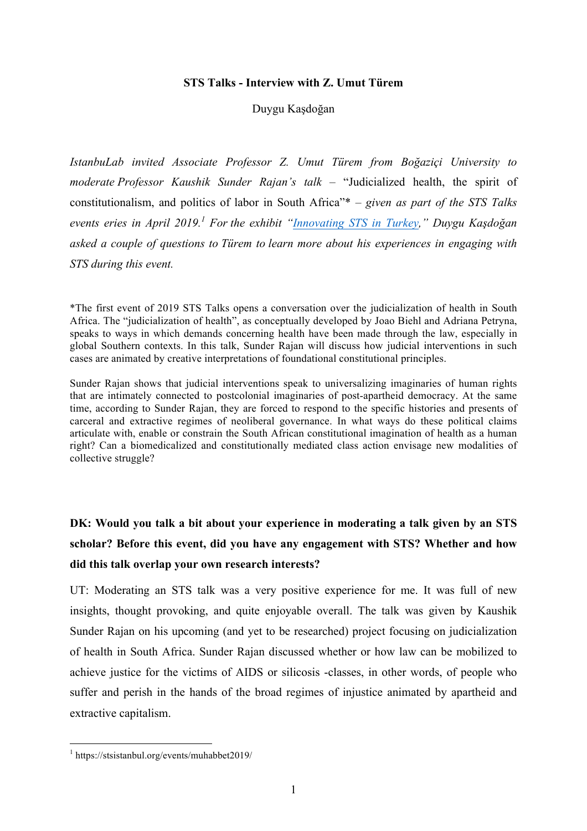#### **STS Talks - Interview with Z. Umut Türem**

### Duygu Kaşdoğan

*IstanbuLab invited Associate Professor Z. Umut Türem from Boğaziçi University to moderate Professor Kaushik Sunder Rajan's talk* – "Judicialized health, the spirit of constitutionalism, and politics of labor in South Africa"\* – *given as part of the STS Talks events eries in April 2019.<sup>1</sup> For the exhibit "Innovating STS in Turkey," Duygu Kaşdoğan asked a couple of questions to Türem to learn more about his experiences in engaging with STS during this event.*

\*The first event of 2019 STS Talks opens a conversation over the judicialization of health in South Africa. The "judicialization of health", as conceptually developed by Joao Biehl and Adriana Petryna, speaks to ways in which demands concerning health have been made through the law, especially in global Southern contexts. In this talk, Sunder Rajan will discuss how judicial interventions in such cases are animated by creative interpretations of foundational constitutional principles.

Sunder Rajan shows that judicial interventions speak to universalizing imaginaries of human rights that are intimately connected to postcolonial imaginaries of post-apartheid democracy. At the same time, according to Sunder Rajan, they are forced to respond to the specific histories and presents of carceral and extractive regimes of neoliberal governance. In what ways do these political claims articulate with, enable or constrain the South African constitutional imagination of health as a human right? Can a biomedicalized and constitutionally mediated class action envisage new modalities of collective struggle?

# **DK: Would you talk a bit about your experience in moderating a talk given by an STS scholar? Before this event, did you have any engagement with STS? Whether and how did this talk overlap your own research interests?**

UT: Moderating an STS talk was a very positive experience for me. It was full of new insights, thought provoking, and quite enjoyable overall. The talk was given by Kaushik Sunder Rajan on his upcoming (and yet to be researched) project focusing on judicialization of health in South Africa. Sunder Rajan discussed whether or how law can be mobilized to achieve justice for the victims of AIDS or silicosis -classes, in other words, of people who suffer and perish in the hands of the broad regimes of injustice animated by apartheid and extractive capitalism.

 <sup>1</sup> https://stsistanbul.org/events/muhabbet2019/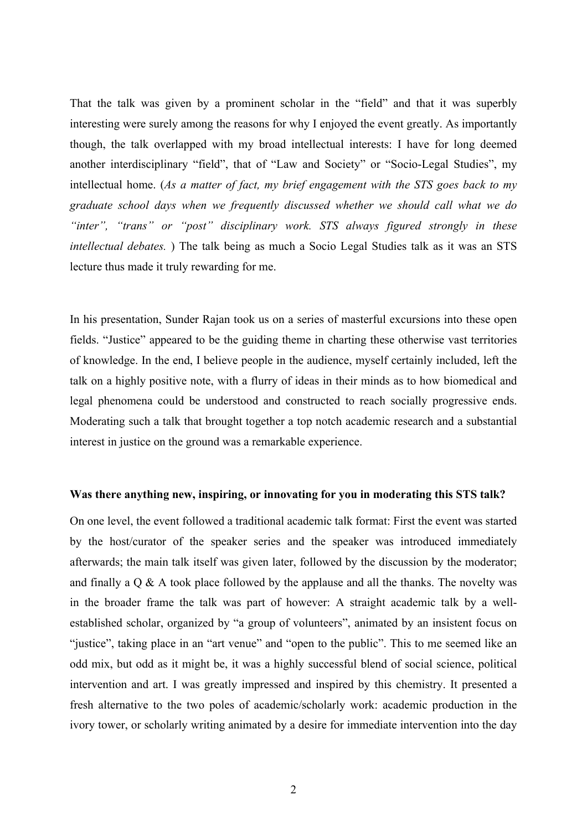That the talk was given by a prominent scholar in the "field" and that it was superbly interesting were surely among the reasons for why I enjoyed the event greatly. As importantly though, the talk overlapped with my broad intellectual interests: I have for long deemed another interdisciplinary "field", that of "Law and Society" or "Socio-Legal Studies", my intellectual home. (*As a matter of fact, my brief engagement with the STS goes back to my graduate school days when we frequently discussed whether we should call what we do "inter", "trans" or "post" disciplinary work. STS always figured strongly in these intellectual debates.* ) The talk being as much a Socio Legal Studies talk as it was an STS lecture thus made it truly rewarding for me.

In his presentation, Sunder Rajan took us on a series of masterful excursions into these open fields. "Justice" appeared to be the guiding theme in charting these otherwise vast territories of knowledge. In the end, I believe people in the audience, myself certainly included, left the talk on a highly positive note, with a flurry of ideas in their minds as to how biomedical and legal phenomena could be understood and constructed to reach socially progressive ends. Moderating such a talk that brought together a top notch academic research and a substantial interest in justice on the ground was a remarkable experience.

### **Was there anything new, inspiring, or innovating for you in moderating this STS talk?**

On one level, the event followed a traditional academic talk format: First the event was started by the host/curator of the speaker series and the speaker was introduced immediately afterwards; the main talk itself was given later, followed by the discussion by the moderator; and finally a  $Q \& A$  took place followed by the applause and all the thanks. The novelty was in the broader frame the talk was part of however: A straight academic talk by a wellestablished scholar, organized by "a group of volunteers", animated by an insistent focus on "justice", taking place in an "art venue" and "open to the public". This to me seemed like an odd mix, but odd as it might be, it was a highly successful blend of social science, political intervention and art. I was greatly impressed and inspired by this chemistry. It presented a fresh alternative to the two poles of academic/scholarly work: academic production in the ivory tower, or scholarly writing animated by a desire for immediate intervention into the day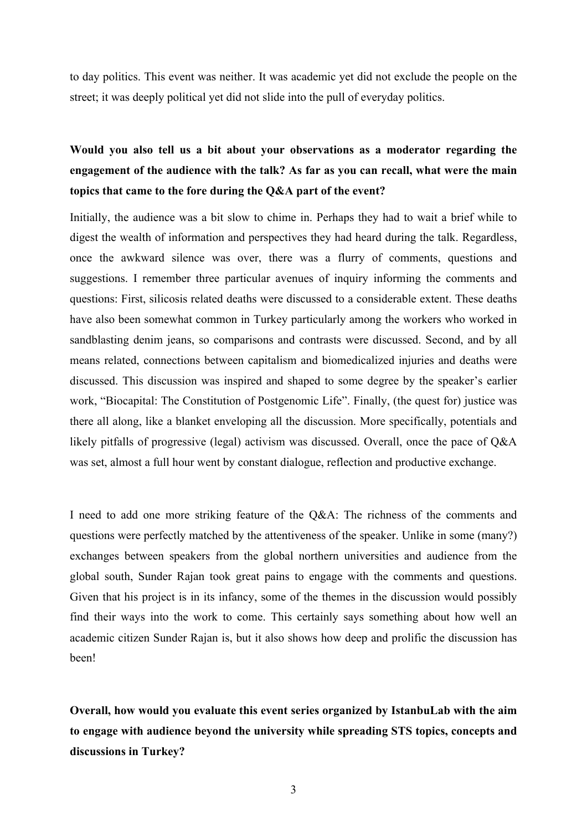to day politics. This event was neither. It was academic yet did not exclude the people on the street; it was deeply political yet did not slide into the pull of everyday politics.

# **Would you also tell us a bit about your observations as a moderator regarding the engagement of the audience with the talk? As far as you can recall, what were the main topics that came to the fore during the Q&A part of the event?**

Initially, the audience was a bit slow to chime in. Perhaps they had to wait a brief while to digest the wealth of information and perspectives they had heard during the talk. Regardless, once the awkward silence was over, there was a flurry of comments, questions and suggestions. I remember three particular avenues of inquiry informing the comments and questions: First, silicosis related deaths were discussed to a considerable extent. These deaths have also been somewhat common in Turkey particularly among the workers who worked in sandblasting denim jeans, so comparisons and contrasts were discussed. Second, and by all means related, connections between capitalism and biomedicalized injuries and deaths were discussed. This discussion was inspired and shaped to some degree by the speaker's earlier work, "Biocapital: The Constitution of Postgenomic Life". Finally, (the quest for) justice was there all along, like a blanket enveloping all the discussion. More specifically, potentials and likely pitfalls of progressive (legal) activism was discussed. Overall, once the pace of Q&A was set, almost a full hour went by constant dialogue, reflection and productive exchange.

I need to add one more striking feature of the Q&A: The richness of the comments and questions were perfectly matched by the attentiveness of the speaker. Unlike in some (many?) exchanges between speakers from the global northern universities and audience from the global south, Sunder Rajan took great pains to engage with the comments and questions. Given that his project is in its infancy, some of the themes in the discussion would possibly find their ways into the work to come. This certainly says something about how well an academic citizen Sunder Rajan is, but it also shows how deep and prolific the discussion has been!

**Overall, how would you evaluate this event series organized by IstanbuLab with the aim to engage with audience beyond the university while spreading STS topics, concepts and discussions in Turkey?**